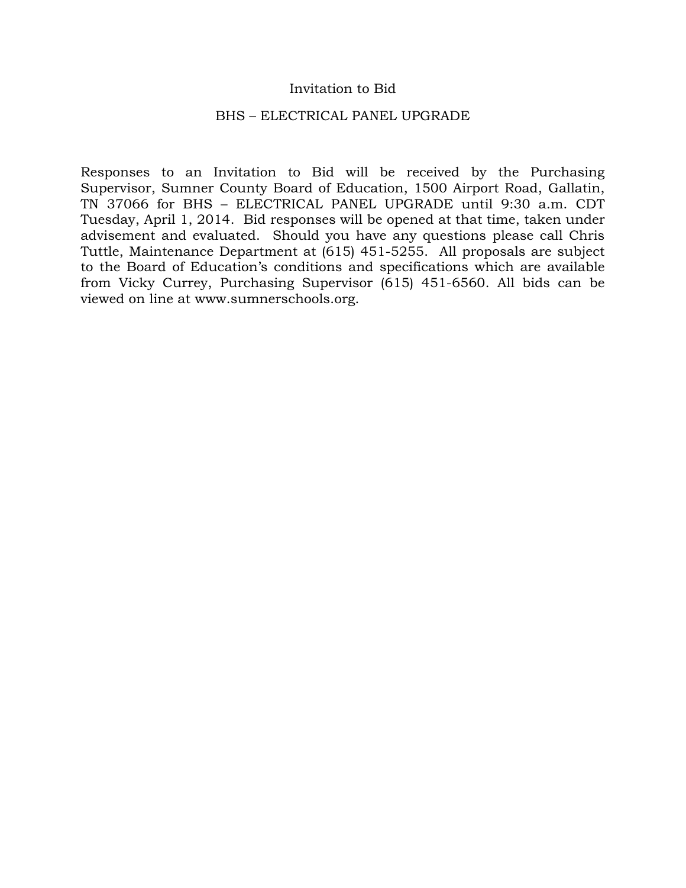### Invitation to Bid

#### BHS – ELECTRICAL PANEL UPGRADE

Responses to an Invitation to Bid will be received by the Purchasing Supervisor, Sumner County Board of Education, 1500 Airport Road, Gallatin, TN 37066 for BHS – ELECTRICAL PANEL UPGRADE until 9:30 a.m. CDT Tuesday, April 1, 2014. Bid responses will be opened at that time, taken under advisement and evaluated. Should you have any questions please call Chris Tuttle, Maintenance Department at (615) 451-5255. All proposals are subject to the Board of Education's conditions and specifications which are available from Vicky Currey, Purchasing Supervisor (615) 451-6560. All bids can be viewed on line at www.sumnerschools.org.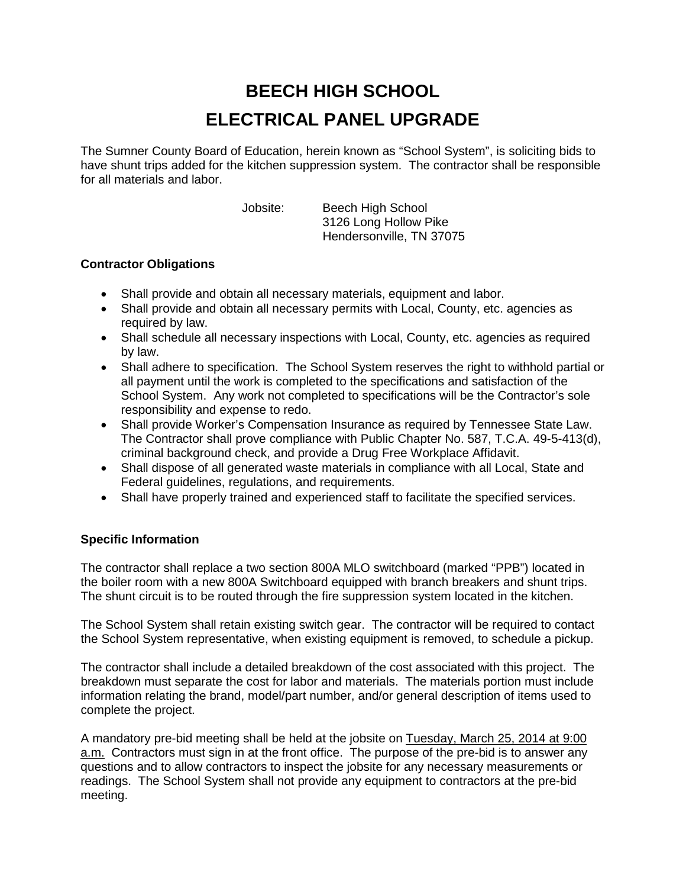# **BEECH HIGH SCHOOL ELECTRICAL PANEL UPGRADE**

The Sumner County Board of Education, herein known as "School System", is soliciting bids to have shunt trips added for the kitchen suppression system. The contractor shall be responsible for all materials and labor.

Jobsite: Beech High School 3126 Long Hollow Pike Hendersonville, TN 37075

### **Contractor Obligations**

- Shall provide and obtain all necessary materials, equipment and labor.
- Shall provide and obtain all necessary permits with Local, County, etc. agencies as required by law.
- Shall schedule all necessary inspections with Local, County, etc. agencies as required by law.
- Shall adhere to specification. The School System reserves the right to withhold partial or all payment until the work is completed to the specifications and satisfaction of the School System. Any work not completed to specifications will be the Contractor's sole responsibility and expense to redo.
- Shall provide Worker's Compensation Insurance as required by Tennessee State Law. The Contractor shall prove compliance with Public Chapter No. 587, T.C.A. 49-5-413(d), criminal background check, and provide a Drug Free Workplace Affidavit.
- Shall dispose of all generated waste materials in compliance with all Local, State and Federal guidelines, regulations, and requirements.
- Shall have properly trained and experienced staff to facilitate the specified services.

## **Specific Information**

The contractor shall replace a two section 800A MLO switchboard (marked "PPB") located in the boiler room with a new 800A Switchboard equipped with branch breakers and shunt trips. The shunt circuit is to be routed through the fire suppression system located in the kitchen.

The School System shall retain existing switch gear. The contractor will be required to contact the School System representative, when existing equipment is removed, to schedule a pickup.

The contractor shall include a detailed breakdown of the cost associated with this project. The breakdown must separate the cost for labor and materials. The materials portion must include information relating the brand, model/part number, and/or general description of items used to complete the project.

A mandatory pre-bid meeting shall be held at the jobsite on Tuesday, March 25, 2014 at 9:00 a.m. Contractors must sign in at the front office. The purpose of the pre-bid is to answer any questions and to allow contractors to inspect the jobsite for any necessary measurements or readings. The School System shall not provide any equipment to contractors at the pre-bid meeting.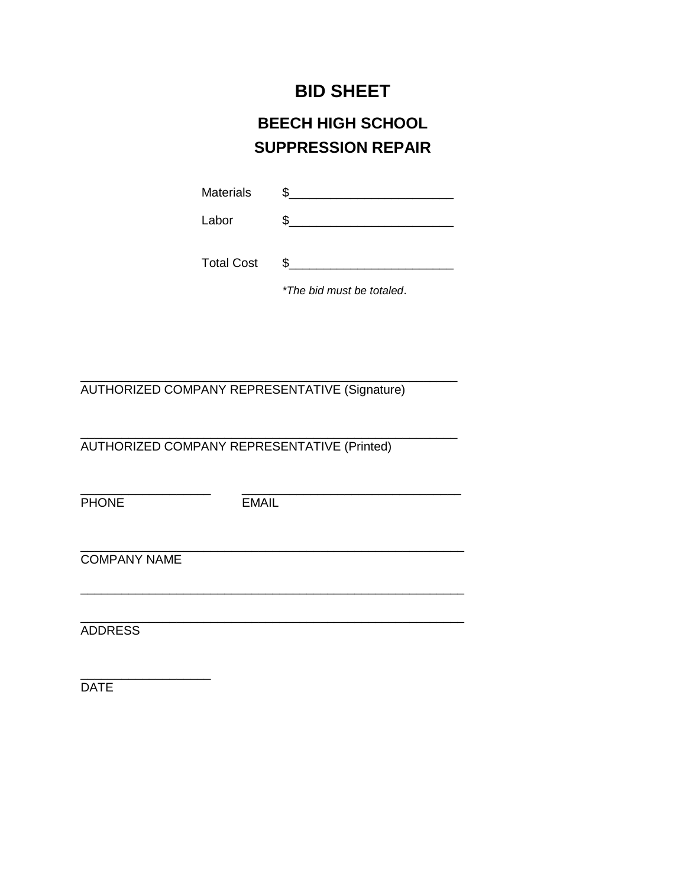## **BID SHEET**

## **BEECH HIGH SCHOOL SUPPRESSION REPAIR**

| <b>Materials</b> |  |
|------------------|--|
|                  |  |

Labor \$\_\_\_\_\_\_\_\_\_\_\_\_\_\_\_\_\_\_\_\_\_\_\_\_

| <b>Total Cost</b> |  |
|-------------------|--|
|                   |  |

*\*The bid must be totaled*.

\_\_\_\_\_\_\_\_\_\_\_\_\_\_\_\_\_\_\_\_\_\_\_\_\_\_\_\_\_\_\_\_\_\_\_\_\_\_\_\_\_\_\_\_\_\_\_\_\_\_\_\_\_\_\_ AUTHORIZED COMPANY REPRESENTATIVE (Signature)

\_\_\_\_\_\_\_\_\_\_\_\_\_\_\_\_\_\_\_\_\_\_\_\_\_\_\_\_\_\_\_\_\_\_\_\_\_\_\_\_\_\_\_\_\_\_\_\_\_\_\_\_\_\_\_ AUTHORIZED COMPANY REPRESENTATIVE (Printed)

PHONE EMAIL

\_\_\_\_\_\_\_\_\_\_\_\_\_\_\_\_\_\_\_ \_\_\_\_\_\_\_\_\_\_\_\_\_\_\_\_\_\_\_\_\_\_\_\_\_\_\_\_\_\_\_\_

\_\_\_\_\_\_\_\_\_\_\_\_\_\_\_\_\_\_\_\_\_\_\_\_\_\_\_\_\_\_\_\_\_\_\_\_\_\_\_\_\_\_\_\_\_\_\_\_\_\_\_\_\_\_\_\_

\_\_\_\_\_\_\_\_\_\_\_\_\_\_\_\_\_\_\_\_\_\_\_\_\_\_\_\_\_\_\_\_\_\_\_\_\_\_\_\_\_\_\_\_\_\_\_\_\_\_\_\_\_\_\_\_ COMPANY NAME

\_\_\_\_\_\_\_\_\_\_\_\_\_\_\_\_\_\_\_\_\_\_\_\_\_\_\_\_\_\_\_\_\_\_\_\_\_\_\_\_\_\_\_\_\_\_\_\_\_\_\_\_\_\_\_\_ ADDRESS

\_\_\_\_\_\_\_\_\_\_\_\_\_\_\_\_\_\_\_ **DATE**